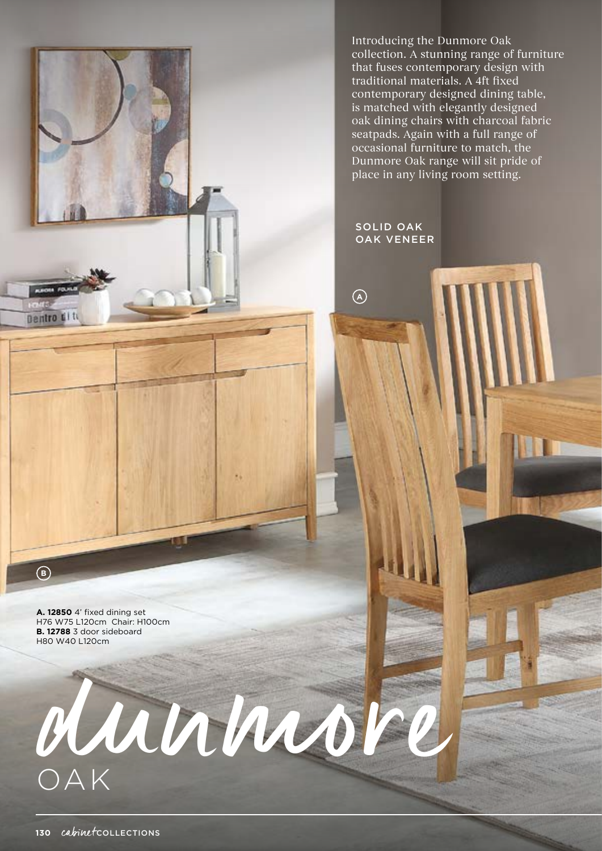Introducing the Dunmore Oak collection. A stunning range of furniture that fuses contemporary design with traditional materials. A 4ft fixed contemporary designed dining table, is matched with elegantly designed oak dining chairs with charcoal fabric seatpads. Again with a full range of occasional furniture to match, the Dunmore Oak range will sit pride of place in any living room setting.

## SOLID OAK OAK VENEER

**A**

**A. 12850** 4' fixed dining set H76 W75 L120cm Chair: H100cm **B. 12788** 3 door sideboard H80 W40 L120cm

**B**

nentro titu

dunmore OAK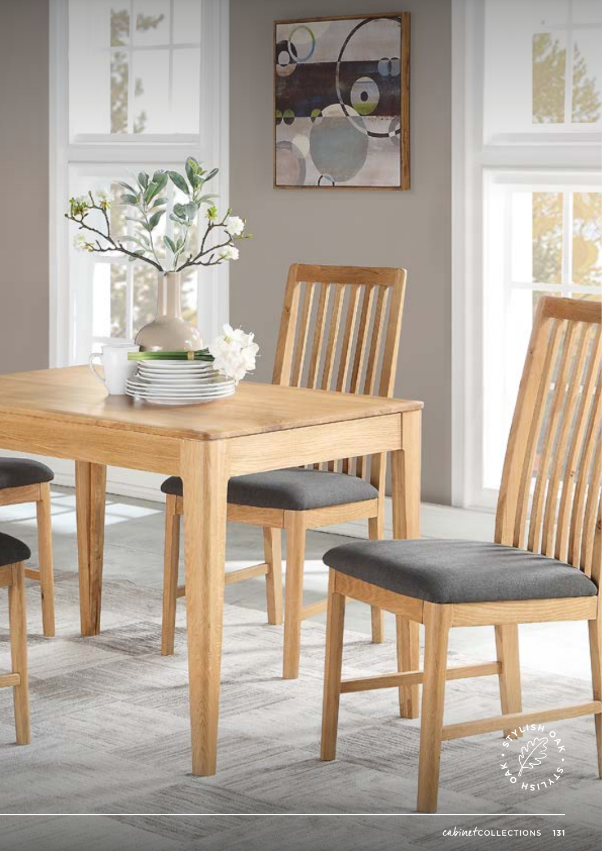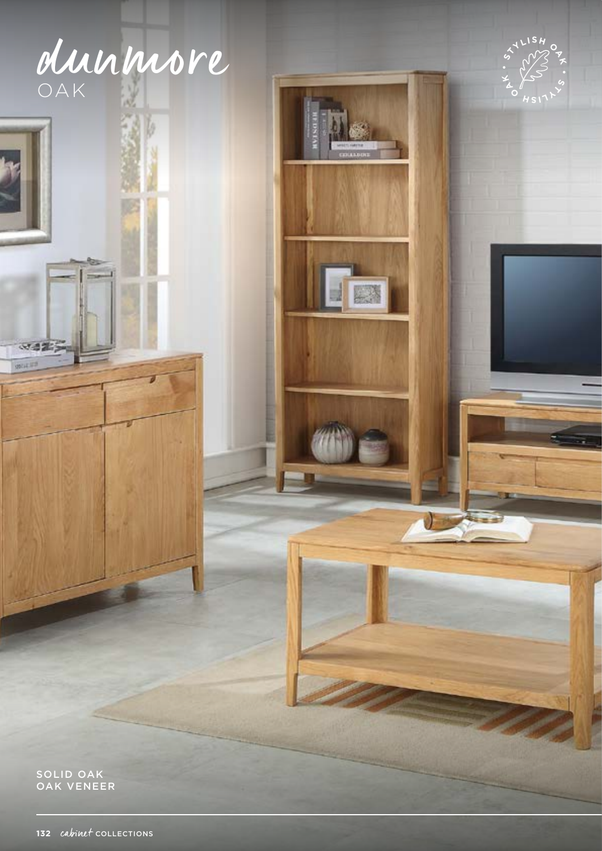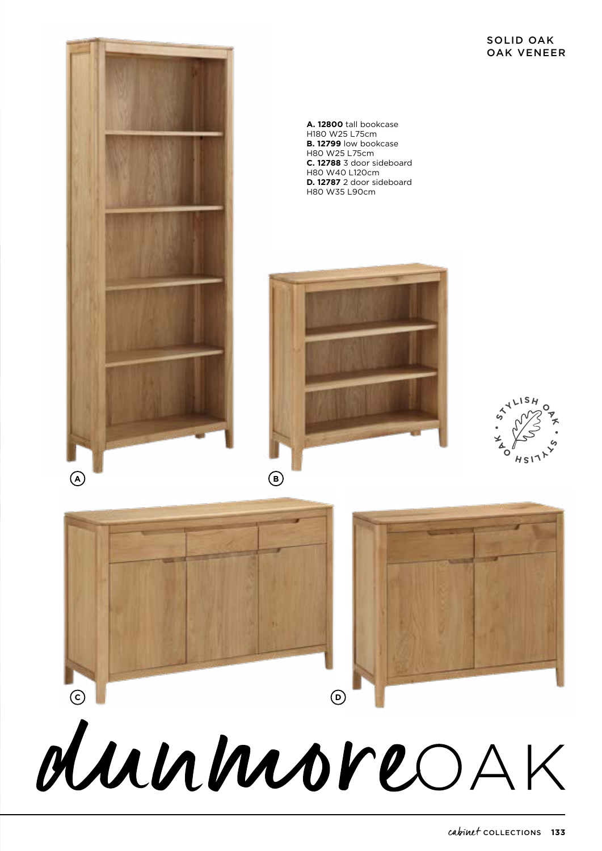## SOLID OAK OAK VENEER



 $5\frac{1}{2}$ **N**  $\frac{1}{2}$ **K •**  $\frac{1}{2}$  **I**  $\frac{1}{2}$  **I**  $\frac{1}{2}$ **K •**



**CLUMBREDAK**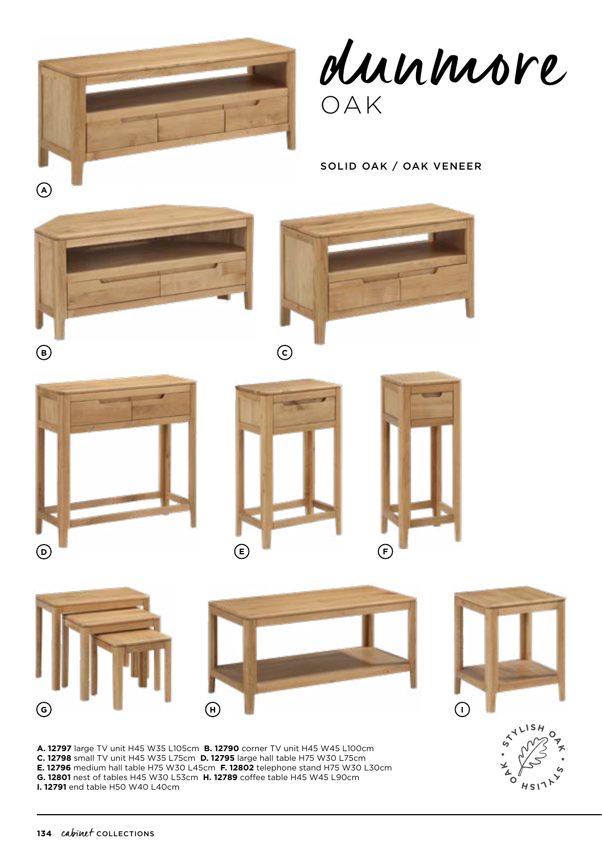